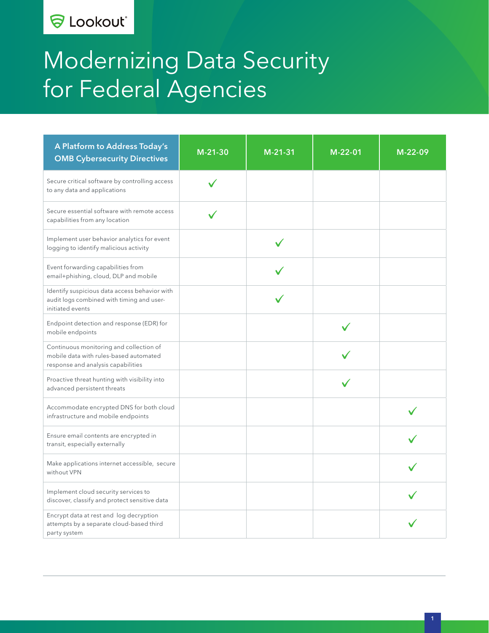### **& Lookout**®

# Modernizing Data Security for Federal Agencies

| A Platform to Address Today's<br><b>OMB Cybersecurity Directives</b>                                                    | $M-21-30$ | $M-21-31$ | M-22-01 | M-22-09 |
|-------------------------------------------------------------------------------------------------------------------------|-----------|-----------|---------|---------|
| Secure critical software by controlling access<br>to any data and applications                                          |           |           |         |         |
| Secure essential software with remote access<br>capabilities from any location                                          |           |           |         |         |
| Implement user behavior analytics for event<br>logging to identify malicious activity                                   |           |           |         |         |
| Event forwarding capabilities from<br>email+phishing, cloud, DLP and mobile                                             |           |           |         |         |
| Identify suspicious data access behavior with<br>audit logs combined with timing and user-<br>initiated events          |           |           |         |         |
| Endpoint detection and response (EDR) for<br>mobile endpoints                                                           |           |           |         |         |
| Continuous monitoring and collection of<br>mobile data with rules-based automated<br>response and analysis capabilities |           |           |         |         |
| Proactive threat hunting with visibility into<br>advanced persistent threats                                            |           |           |         |         |
| Accommodate encrypted DNS for both cloud<br>infrastructure and mobile endpoints                                         |           |           |         |         |
| Ensure email contents are encrypted in<br>transit, especially externally                                                |           |           |         |         |
| Make applications internet accessible, secure<br>without VPN                                                            |           |           |         |         |
| Implement cloud security services to<br>discover, classify and protect sensitive data                                   |           |           |         |         |
| Encrypt data at rest and log decryption<br>attempts by a separate cloud-based third<br>party system                     |           |           |         |         |